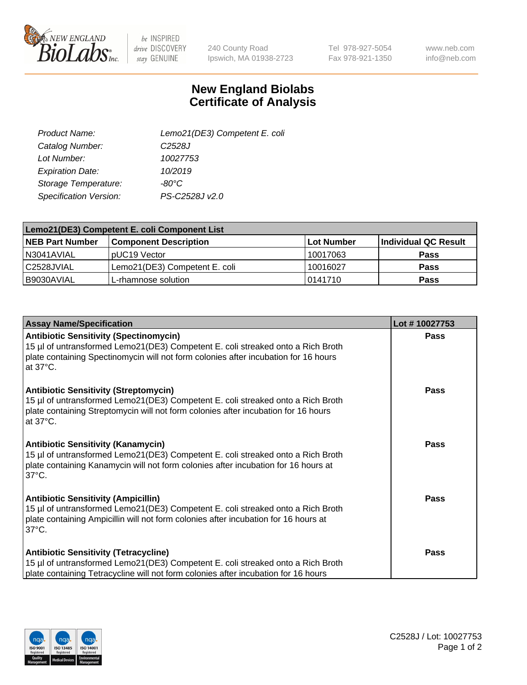

 $be$  INSPIRED drive DISCOVERY stay GENUINE

240 County Road Ipswich, MA 01938-2723 Tel 978-927-5054 Fax 978-921-1350

www.neb.com info@neb.com

## **New England Biolabs Certificate of Analysis**

| Product Name:           | Lemo21(DE3) Competent E. coli |
|-------------------------|-------------------------------|
| Catalog Number:         | C <sub>2528</sub> J           |
| Lot Number:             | 10027753                      |
| <b>Expiration Date:</b> | 10/2019                       |
| Storage Temperature:    | $-80^{\circ}$ C               |
| Specification Version:  | PS-C2528J v2.0                |

| Lemo21(DE3) Competent E. coli Component List |                               |                   |                             |  |
|----------------------------------------------|-------------------------------|-------------------|-----------------------------|--|
| <b>NEB Part Number</b>                       | <b>Component Description</b>  | <b>Lot Number</b> | <b>Individual QC Result</b> |  |
| I N3041AVIAL                                 | IpUC19 Vector                 | 10017063          | Pass                        |  |
| C2528JVIAL                                   | Lemo21(DE3) Competent E. coli | 10016027          | <b>Pass</b>                 |  |
| B9030AVIAL                                   | L-rhamnose solution           | 0141710           | <b>Pass</b>                 |  |

| <b>Assay Name/Specification</b>                                                                                                                                                                                                             | Lot #10027753 |
|---------------------------------------------------------------------------------------------------------------------------------------------------------------------------------------------------------------------------------------------|---------------|
| <b>Antibiotic Sensitivity (Spectinomycin)</b><br>15 µl of untransformed Lemo21(DE3) Competent E. coli streaked onto a Rich Broth<br>plate containing Spectinomycin will not form colonies after incubation for 16 hours<br>at 37°C.         | Pass          |
| <b>Antibiotic Sensitivity (Streptomycin)</b><br>15 µl of untransformed Lemo21(DE3) Competent E. coli streaked onto a Rich Broth<br>plate containing Streptomycin will not form colonies after incubation for 16 hours<br>at $37^{\circ}$ C. | Pass          |
| <b>Antibiotic Sensitivity (Kanamycin)</b><br>15 µl of untransformed Lemo21(DE3) Competent E. coli streaked onto a Rich Broth<br>plate containing Kanamycin will not form colonies after incubation for 16 hours at<br>$37^{\circ}$ C.       | Pass          |
| <b>Antibiotic Sensitivity (Ampicillin)</b><br>15 µl of untransformed Lemo21(DE3) Competent E. coli streaked onto a Rich Broth<br>plate containing Ampicillin will not form colonies after incubation for 16 hours at<br>$37^{\circ}$ C.     | Pass          |
| <b>Antibiotic Sensitivity (Tetracycline)</b><br>15 µl of untransformed Lemo21(DE3) Competent E. coli streaked onto a Rich Broth<br>plate containing Tetracycline will not form colonies after incubation for 16 hours                       | <b>Pass</b>   |